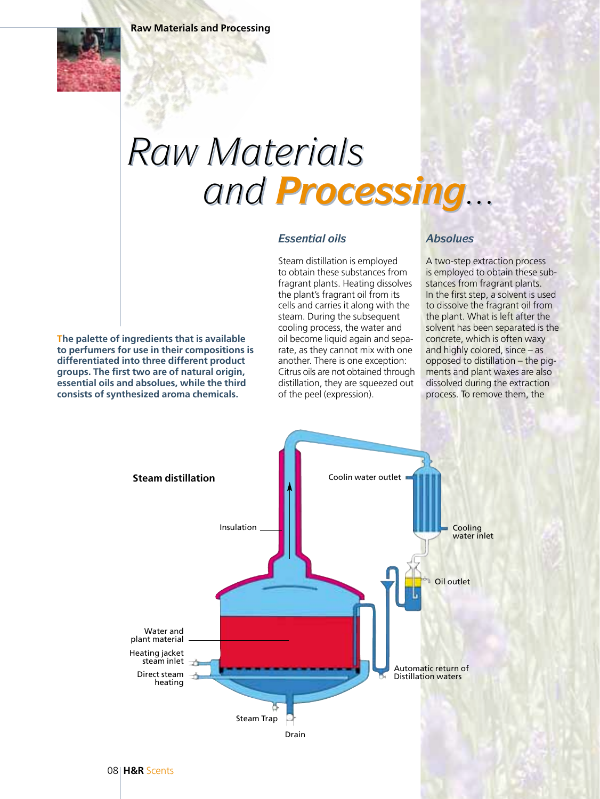## *Raw Materials and Processing... Raw Materials and Processing...*

## *Essential oils*

Steam distillation is employed to obtain these substances from fragrant plants. Heating dissolves the plant's fragrant oil from its cells and carries it along with the steam. During the subsequent cooling process, the water and oil become liquid again and separate, as they cannot mix with one another. There is one exception: Citrus oils are not obtained through distillation, they are squeezed out of the peel (expression).

## *Absolues*

A two-step extraction process is employed to obtain these substances from fragrant plants. In the first step, a solvent is used to dissolve the fragrant oil from the plant. What is left after the solvent has been separated is the concrete, which is often waxy and highly colored, since – as opposed to distillation – the pigments and plant waxes are also dissolved during the extraction process. To remove them, the

**The palette of ingredients that is available to perfumers for use in their compositions is differentiated into three different product groups. The first two are of natural origin, essential oils and absolues, while the third consists of synthesized aroma chemicals.**

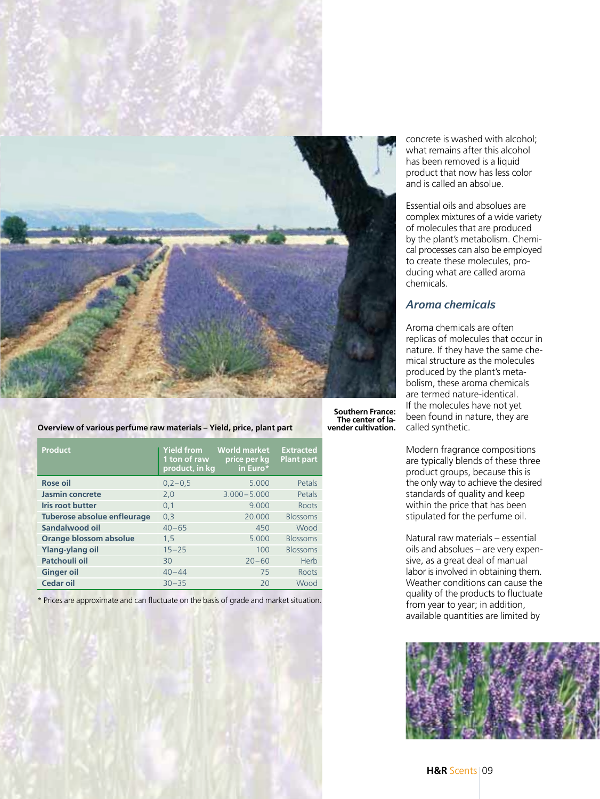

| <b>Product</b>              | <b>Yield from</b><br>1 ton of raw<br>product, in kg | <b>World market</b><br>price per kg<br>in Euro* | <b>Extracted</b><br><b>Plant part</b> |
|-----------------------------|-----------------------------------------------------|-------------------------------------------------|---------------------------------------|
| Rose oil                    | $0,2-0,5$                                           | 5.000                                           | Petals                                |
| Jasmin concrete             | 2,0                                                 | $3.000 - 5.000$                                 | Petals                                |
| <b>Iris root butter</b>     | 0,1                                                 | 9.000                                           | Roots                                 |
| Tuberose absolue enfleurage | 0,3                                                 | 20,000                                          | <b>Blossoms</b>                       |
| Sandalwood oil              | $40 - 65$                                           | 450                                             | Wood                                  |
| Orange blossom absolue      | 1,5                                                 | 5.000                                           | <b>Blossoms</b>                       |
| <b>Ylang-ylang oil</b>      | $15 - 25$                                           | 100                                             | <b>Blossoms</b>                       |
| Patchouli oil               | 30                                                  | $20 - 60$                                       | Herb                                  |
| <b>Ginger oil</b>           | $40 - 44$                                           | 75                                              | Roots                                 |
| Cedar oil                   | $30 - 35$                                           | 20                                              | Wood                                  |

**Overview of various perfume raw materials – Yield, price, plant part**

\* Prices are approximate and can fluctuate on the basis of grade and market situation.

concrete is washed with alcohol; what remains after this alcohol has been removed is a liquid product that now has less color and is called an absolue.

Essential oils and absolues are complex mixtures of a wide variety of molecules that are produced by the plant's metabolism. Chemical processes can also be employed to create these molecules, producing what are called aroma chemicals.

## *Aroma chemicals*

**vender cultivation.**

Aroma chemicals are often replicas of molecules that occur in nature. If they have the same chemical structure as the molecules produced by the plant's metabolism, these aroma chemicals are termed nature-identical. If the molecules have not yet been found in nature, they are called synthetic.

Modern fragrance compositions are typically blends of these three product groups, because this is the only way to achieve the desired standards of quality and keep within the price that has been stipulated for the perfume oil.

Natural raw materials – essential oils and absolues – are very expensive, as a great deal of manual labor is involved in obtaining them. Weather conditions can cause the quality of the products to fluctuate from year to year; in addition, available quantities are limited by

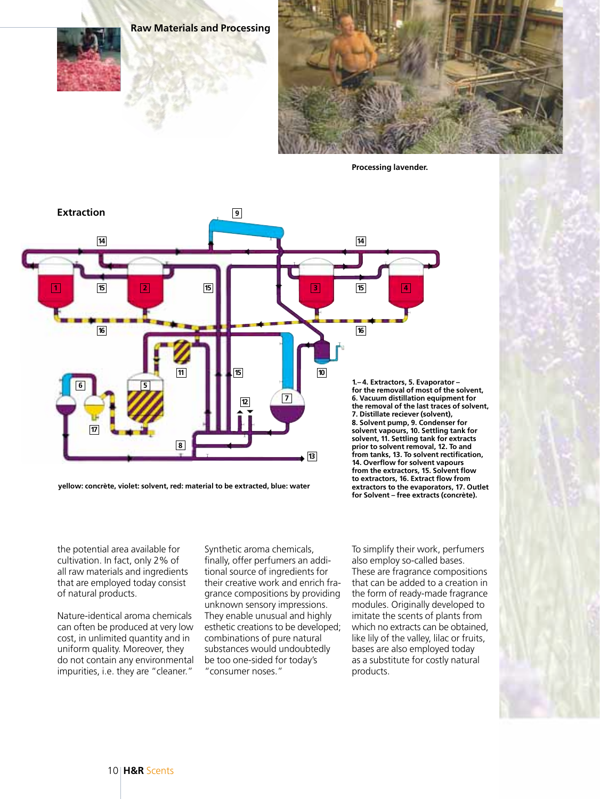**Raw Materials and Processing**



**Processing lavender.**



**yellow: concrète, violet: solvent, red: material to be extracted, blue: water**

**for the removal of most of the solvent, 6. Vacuum distillation equipment for the removal of the last traces of solvent, 7. Distillate reciever (solvent), 8. Solvent pump, 9. Condenser for solvent vapours, 10. Settling tank for solvent, 11. Settling tank for extracts prior to solvent removal, 12. To and from tanks, 13. To solvent rectification, 14. Overflow for solvent vapours from the extractors, 15. Solvent flow to extractors, 16. Extract flow from extractors to the evaporators, 17. Outlet for Solvent – free extracts (concrète).**

the potential area available for cultivation. In fact, only 2% of all raw materials and ingredients that are employed today consist of natural products.

Nature-identical aroma chemicals can often be produced at very low cost, in unlimited quantity and in uniform quality. Moreover, they do not contain any environmental impurities, i.e. they are "cleaner."

Synthetic aroma chemicals, finally, offer perfumers an additional source of ingredients for their creative work and enrich fragrance compositions by providing unknown sensory impressions. They enable unusual and highly esthetic creations to be developed; combinations of pure natural substances would undoubtedly be too one-sided for today's "consumer noses."

To simplify their work, perfumers also employ so-called bases. These are fragrance compositions that can be added to a creation in the form of ready-made fragrance modules. Originally developed to imitate the scents of plants from which no extracts can be obtained, like lily of the valley, lilac or fruits, bases are also employed today as a substitute for costly natural products.